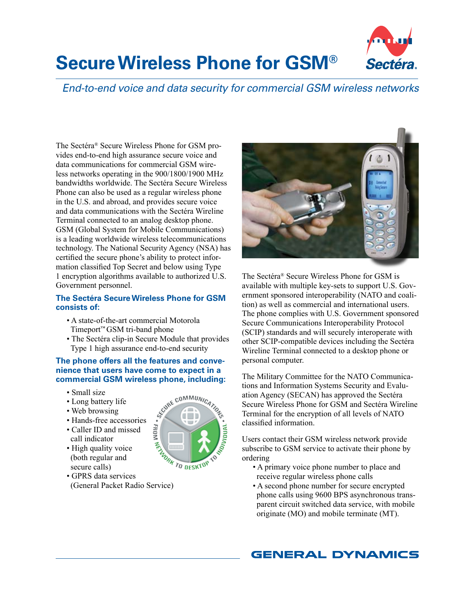

# **Secure Wireless Phone for GSM®**

*End-to-end voice and data security for commercial GSM wireless networks*

The Sectéra® Secure Wireless Phone for GSM provides end-to-end high assurance secure voice and data communications for commercial GSM wireless networks operating in the 900/1800/1900 MHz bandwidths worldwide. The Sectéra Secure Wireless Phone can also be used as a regular wireless phone in the U.S. and abroad, and provides secure voice and data communications with the Sectéra Wireline Terminal connected to an analog desktop phone. GSM (Global System for Mobile Communications) is a leading worldwide wireless telecommunications technology. The National Security Agency (NSA) has certified the secure phone's ability to protect information classified Top Secret and below using Type 1 encryption algorithms available to authorized U.S. Government personnel.

# **The Sectéra Secure Wireless Phone for GSM consists of:**

- A state-of-the-art commercial Motorola Timeport™ GSM tri-band phone
- The Sectéra clip-in Secure Module that provides Type 1 high assurance end-to-end security

### **The phone offers all the features and convenience that users have come to expect in a commercial GSM wireless phone, including:**

- Small size
- Long battery life
- Web browsing
- Hands-free accessories
- Caller ID and missed call indicator
- High quality voice (both regular and secure calls)



• GPRS data services



The Sectéra® Secure Wireless Phone for GSM is available with multiple key-sets to support U.S. Government sponsored interoperability (NATO and coalition) as well as commercial and international users. The phone complies with U.S. Government sponsored Secure Communications Interoperability Protocol (SCIP) standards and will securely interoperate with other SCIP-compatible devices including the Sectéra Wireline Terminal connected to a desktop phone or personal computer.

The Military Committee for the NATO Communications and Information Systems Security and Evaluation Agency (SECAN) has approved the Sectéra Secure Wireless Phone for GSM and Sectéra Wireline Terminal for the encryption of all levels of NATO classified information.

Users contact their GSM wireless network provide subscribe to GSM service to activate their phone by ordering

- A primary voice phone number to place and receive regular wireless phone calls
- A second phone number for secure encrypted phone calls using 9600 BPS asynchronous trans parent circuit switched data service, with mobile originate (MO) and mobile terminate (MT).